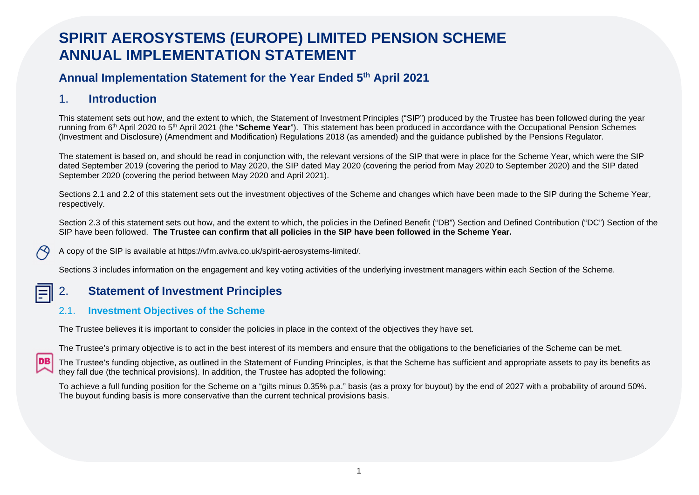# **SPIRIT AEROSYSTEMS (EUROPE) LIMITED PENSION SCHEME ANNUAL IMPLEMENTATION STATEMENT**

## **Annual Implementation Statement for the Year Ended 5th April 2021**

## 1. **Introduction**

This statement sets out how, and the extent to which, the Statement of Investment Principles ("SIP") produced by the Trustee has been followed during the year running from 6th April 2020 to 5th April 2021 (the "**Scheme Year**"). This statement has been produced in accordance with the Occupational Pension Schemes (Investment and Disclosure) (Amendment and Modification) Regulations 2018 (as amended) and the guidance published by the Pensions Regulator.

The statement is based on, and should be read in conjunction with, the relevant versions of the SIP that were in place for the Scheme Year, which were the SIP dated September 2019 (covering the period to May 2020, the SIP dated May 2020 (covering the period from May 2020 to September 2020) and the SIP dated September 2020 (covering the period between May 2020 and April 2021).

Sections 2.1 and 2.2 of this statement sets out the investment objectives of the Scheme and changes which have been made to the SIP during the Scheme Year, respectively.

Section 2.3 of this statement sets out how, and the extent to which, the policies in the Defined Benefit ("DB") Section and Defined Contribution ("DC") Section of the SIP have been followed. **The Trustee can confirm that all policies in the SIP have been followed in the Scheme Year.**

IDB

A copy of the SIP is available at https://vfm.aviva.co.uk/spirit-aerosystems-limited/.

Sections 3 includes information on the engagement and key voting activities of the underlying investment managers within each Section of the Scheme.

## 2. **Statement of Investment Principles**

## 2.1. **Investment Objectives of the Scheme**

The Trustee believes it is important to consider the policies in place in the context of the objectives they have set.

The Trustee's primary objective is to act in the best interest of its members and ensure that the obligations to the beneficiaries of the Scheme can be met.

The Trustee's funding objective, as outlined in the Statement of Funding Principles, is that the Scheme has sufficient and appropriate assets to pay its benefits as they fall due (the technical provisions). In addition, the Trustee has adopted the following:

To achieve a full funding position for the Scheme on a "gilts minus 0.35% p.a." basis (as a proxy for buyout) by the end of 2027 with a probability of around 50%. The buyout funding basis is more conservative than the current technical provisions basis.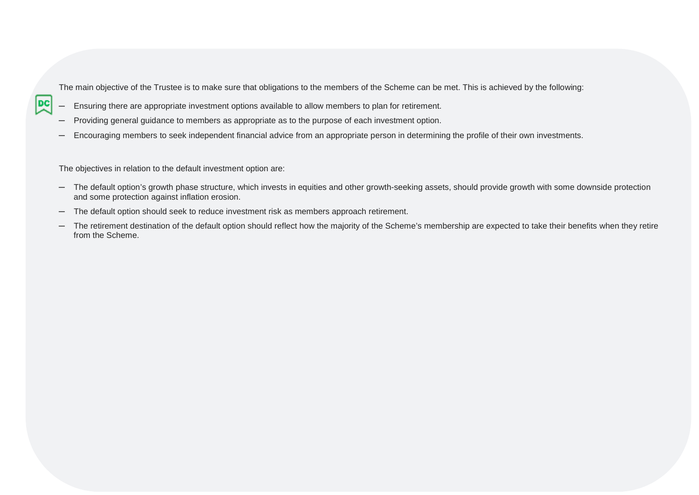The main objective of the Trustee is to make sure that obligations to the members of the Scheme can be met. This is achieved by the following:

- Ensuring there are appropriate investment options available to allow members to plan for retirement.
- ─ Providing general guidance to members as appropriate as to the purpose of each investment option.
- Encouraging members to seek independent financial advice from an appropriate person in determining the profile of their own investments.

The objectives in relation to the default investment option are:

- The default option's growth phase structure, which invests in equities and other growth-seeking assets, should provide growth with some downside protection and some protection against inflation erosion.
- ─ The default option should seek to reduce investment risk as members approach retirement.
- The retirement destination of the default option should reflect how the majority of the Scheme's membership are expected to take their benefits when they retire from the Scheme.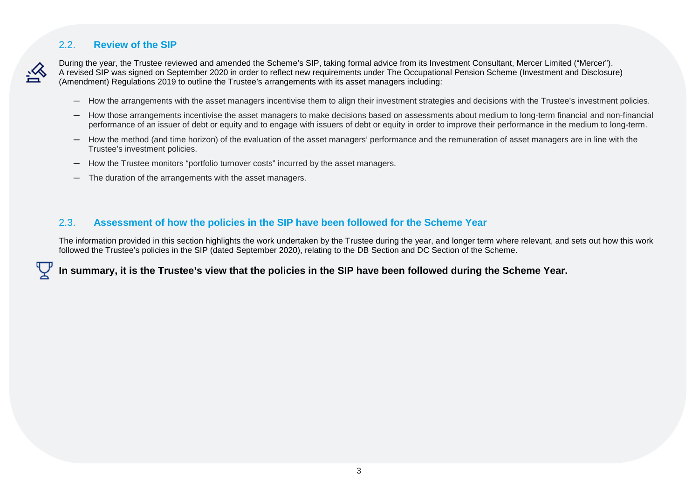#### 2.2. **Review of the SIP**



During the year, the Trustee reviewed and amended the Scheme's SIP, taking formal advice from its Investment Consultant, Mercer Limited ("Mercer"). A revised SIP was signed on September 2020 in order to reflect new requirements under The Occupational Pension Scheme (Investment and Disclosure) (Amendment) Regulations 2019 to outline the Trustee's arrangements with its asset managers including:

- ─ How the arrangements with the asset managers incentivise them to align their investment strategies and decisions with the Trustee's investment policies.
- ─ How those arrangements incentivise the asset managers to make decisions based on assessments about medium to long-term financial and non-financial performance of an issuer of debt or equity and to engage with issuers of debt or equity in order to improve their performance in the medium to long-term.
- ─ How the method (and time horizon) of the evaluation of the asset managers' performance and the remuneration of asset managers are in line with the Trustee's investment policies.
- ─ How the Trustee monitors "portfolio turnover costs" incurred by the asset managers.
- ─ The duration of the arrangements with the asset managers.

#### 2.3. **Assessment of how the policies in the SIP have been followed for the Scheme Year**

The information provided in this section highlights the work undertaken by the Trustee during the year, and longer term where relevant, and sets out how this work followed the Trustee's policies in the SIP (dated September 2020), relating to the DB Section and DC Section of the Scheme.

**In summary, it is the Trustee's view that the policies in the SIP have been followed during the Scheme Year.**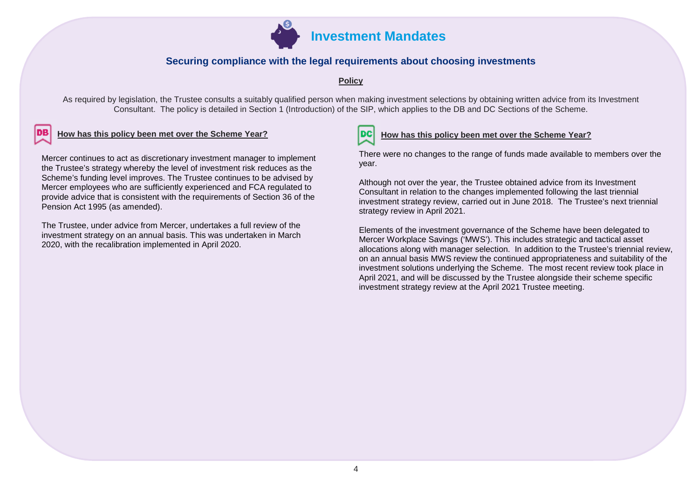

#### **Securing compliance with the legal requirements about choosing investments**

#### **Policy**

As required by legislation, the Trustee consults a suitably qualified person when making investment selections by obtaining written advice from its Investment Consultant. The policy is detailed in Section 1 (Introduction) of the SIP, which applies to the DB and DC Sections of the Scheme.

#### How has this policy been met over the Scheme Year?<br>**DC** How has this policy been met Scheme Year?

Mercer continues to act as discretionary investment manager to implement the Trustee's strategy whereby the level of investment risk reduces as the Scheme's funding level improves. The Trustee continues to be advised by Mercer employees who are sufficiently experienced and FCA regulated to provide advice that is consistent with the requirements of Section 36 of the Pension Act 1995 (as amended).

The Trustee, under advice from Mercer, undertakes a full review of the investment strategy on an annual basis. This was undertaken in March 2020, with the recalibration implemented in April 2020.

There were no changes to the range of funds made available to members over the year.

Although not over the year, the Trustee obtained advice from its Investment Consultant in relation to the changes implemented following the last triennial investment strategy review, carried out in June 2018. The Trustee's next triennial strategy review in April 2021.

Elements of the investment governance of the Scheme have been delegated to Mercer Workplace Savings ('MWS'). This includes strategic and tactical asset allocations along with manager selection. In addition to the Trustee's triennial review, on an annual basis MWS review the continued appropriateness and suitability of the investment solutions underlying the Scheme. The most recent review took place in April 2021, and will be discussed by the Trustee alongside their scheme specific investment strategy review at the April 2021 Trustee meeting.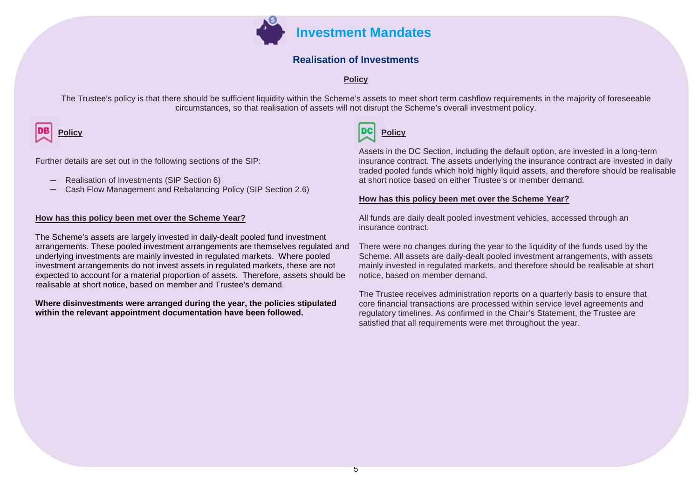

#### **Realisation of Investments**

**Policy**

The Trustee's policy is that there should be sufficient liquidity within the Scheme's assets to meet short term cashflow requirements in the majority of foreseeable circumstances, so that realisation of assets will not disrupt the Scheme's overall investment policy.



Further details are set out in the following sections of the SIP:

- ─ Realisation of Investments (SIP Section 6)
- ─ Cash Flow Management and Rebalancing Policy (SIP Section 2.6)

#### **How has this policy been met over the Scheme Year?**

The Scheme's assets are largely invested in daily-dealt pooled fund investment arrangements. These pooled investment arrangements are themselves regulated and underlying investments are mainly invested in regulated markets. Where pooled investment arrangements do not invest assets in regulated markets, these are not expected to account for a material proportion of assets. Therefore, assets should be realisable at short notice, based on member and Trustee's demand.

#### **Where disinvestments were arranged during the year, the policies stipulated within the relevant appointment documentation have been followed.**



Assets in the DC Section, including the default option, are invested in a long-term insurance contract. The assets underlying the insurance contract are invested in daily traded pooled funds which hold highly liquid assets, and therefore should be realisable at short notice based on either Trustee's or member demand.

#### **How has this policy been met over the Scheme Year?**

All funds are daily dealt pooled investment vehicles, accessed through an insurance contract.

There were no changes during the year to the liquidity of the funds used by the Scheme. All assets are daily-dealt pooled investment arrangements, with assets mainly invested in regulated markets, and therefore should be realisable at short notice, based on member demand.

The Trustee receives administration reports on a quarterly basis to ensure that core financial transactions are processed within service level agreements and regulatory timelines. As confirmed in the Chair's Statement, the Trustee are satisfied that all requirements were met throughout the year.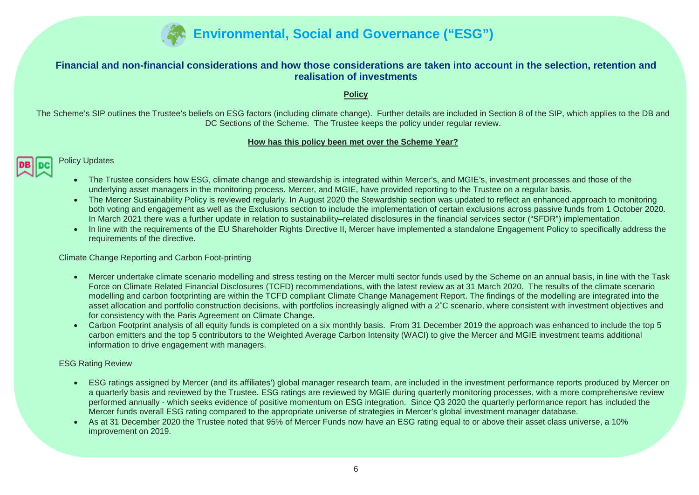

#### **Financial and non-financial considerations and how those considerations are taken into account in the selection, retention and realisation of investments**

**Policy**

The Scheme's SIP outlines the Trustee's beliefs on ESG factors (including climate change). Further details are included in Section 8 of the SIP, which applies to the DB and DC Sections of the Scheme. The Trustee keeps the policy under regular review.

#### **How has this policy been met over the Scheme Year?**



Policy Updates

- The Trustee considers how ESG, climate change and stewardship is integrated within Mercer's, and MGIE's, investment processes and those of the underlying asset managers in the monitoring process. Mercer, and MGIE, have provided reporting to the Trustee on a regular basis.
- The Mercer Sustainability Policy is reviewed regularly. In August 2020 the Stewardship section was updated to reflect an enhanced approach to monitoring both voting and engagement as well as the Exclusions section to include the implementation of certain exclusions across passive funds from 1 October 2020. In March 2021 there was a further update in relation to sustainability–related disclosures in the financial services sector ("SFDR") implementation.
- In line with the requirements of the EU Shareholder Rights Directive II, Mercer have implemented a standalone Engagement Policy to specifically address the requirements of the directive.

Climate Change Reporting and Carbon Foot-printing

- Mercer undertake climate scenario modelling and stress testing on the Mercer multi sector funds used by the Scheme on an annual basis, in line with the Task Force on Climate Related Financial Disclosures (TCFD) recommendations, with the latest review as at 31 March 2020. The results of the climate scenario modelling and carbon footprinting are within the TCFD compliant Climate Change Management Report. The findings of the modelling are integrated into the asset allocation and portfolio construction decisions, with portfolios increasingly aligned with a 2˚C scenario, where consistent with investment objectives and for consistency with the Paris Agreement on Climate Change.
- Carbon Footprint analysis of all equity funds is completed on a six monthly basis. From 31 December 2019 the approach was enhanced to include the top 5 carbon emitters and the top 5 contributors to the Weighted Average Carbon Intensity (WACI) to give the Mercer and MGIE investment teams additional information to drive engagement with managers.

#### ESG Rating Review

- ESG ratings assigned by Mercer (and its affiliates') global manager research team, are included in the investment performance reports produced by Mercer on a quarterly basis and reviewed by the Trustee. ESG ratings are reviewed by MGIE during quarterly monitoring processes, with a more comprehensive review performed annually - which seeks evidence of positive momentum on ESG integration. Since Q3 2020 the quarterly performance report has included the Mercer funds overall ESG rating compared to the appropriate universe of strategies in Mercer's global investment manager database.
- As at 31 December 2020 the Trustee noted that 95% of Mercer Funds now have an ESG rating equal to or above their asset class universe, a 10% improvement on 2019.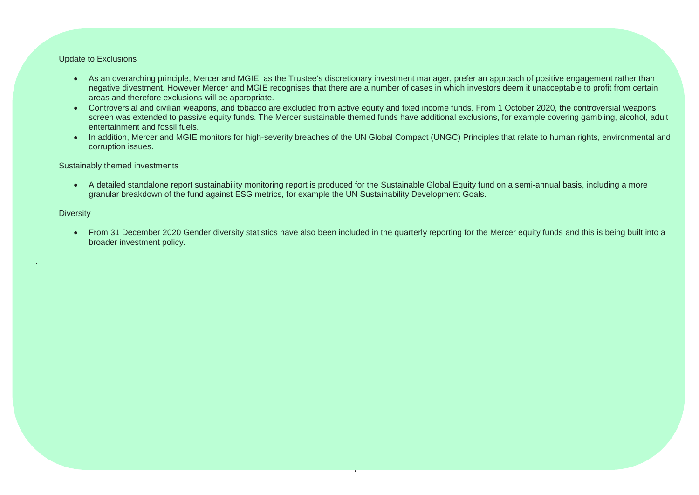#### Update to Exclusions

- As an overarching principle, Mercer and MGIE, as the Trustee's discretionary investment manager, prefer an approach of positive engagement rather than negative divestment. However Mercer and MGIE recognises that there are a number of cases in which investors deem it unacceptable to profit from certain areas and therefore exclusions will be appropriate.
- Controversial and civilian weapons, and tobacco are excluded from active equity and fixed income funds. From 1 October 2020, the controversial weapons screen was extended to passive equity funds. The Mercer sustainable themed funds have additional exclusions, for example covering gambling, alcohol, adult entertainment and fossil fuels.
- In addition, Mercer and MGIE monitors for high-severity breaches of the UN Global Compact (UNGC) Principles that relate to human rights, environmental and corruption issues.

#### Sustainably themed investments

 A detailed standalone report sustainability monitoring report is produced for the Sustainable Global Equity fund on a semi-annual basis, including a more granular breakdown of the fund against ESG metrics, for example the UN Sustainability Development Goals.

#### **Diversity**

.

• From 31 December 2020 Gender diversity statistics have also been included in the quarterly reporting for the Mercer equity funds and this is being built into a broader investment policy.

7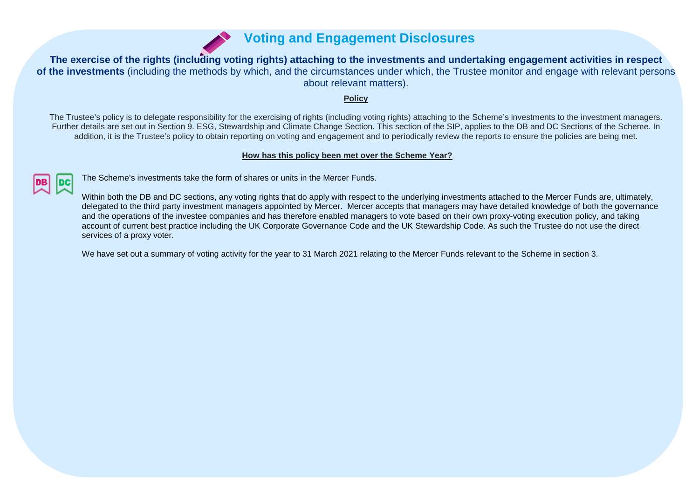

**The exercise of the rights (including voting rights) attaching to the investments and undertaking engagement activities in respect of the investments** (including the methods by which, and the circumstances under which, the Trustee monitor and engage with relevant persons about relevant matters).

#### **Policy**

The Trustee's policy is to delegate responsibility for the exercising of rights (including voting rights) attaching to the Scheme's investments to the investment managers. Further details are set out in Section 9. ESG, Stewardship and Climate Change Section. This section of the SIP, applies to the DB and DC Sections of the Scheme. In addition, it is the Trustee's policy to obtain reporting on voting and engagement and to periodically review the reports to ensure the policies are being met.

#### **How has this policy been met over the Scheme Year?**



The Scheme's investments take the form of shares or units in the Mercer Funds.

Within both the DB and DC sections, any voting rights that do apply with respect to the underlying investments attached to the Mercer Funds are, ultimately, delegated to the third party investment managers appointed by Mercer. Mercer accepts that managers may have detailed knowledge of both the governance and the operations of the investee companies and has therefore enabled managers to vote based on their own proxy-voting execution policy, and taking account of current best practice including the UK Corporate Governance Code and the UK Stewardship Code. As such the Trustee do not use the direct services of a proxy voter.

We have set out a summary of voting activity for the year to 31 March 2021 relating to the Mercer Funds relevant to the Scheme in section 3.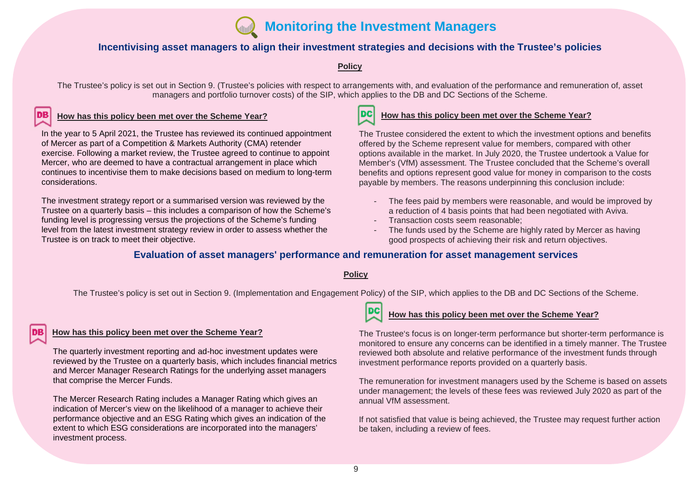

#### **Incentivising asset managers to align their investment strategies and decisions with the Trustee's policies**

#### **Policy**

The Trustee's policy is set out in Section 9. (Trustee's policies with respect to arrangements with, and evaluation of the performance and remuneration of, asset managers and portfolio turnover costs) of the SIP, which applies to the DB and DC Sections of the Scheme.

#### **How has this policy been met over the Scheme Year?**

In the year to 5 April 2021, the Trustee has reviewed its continued appointment of Mercer as part of a Competition & Markets Authority (CMA) retender exercise. Following a market review, the Trustee agreed to continue to appoint Mercer, who are deemed to have a contractual arrangement in place which continues to incentivise them to make decisions based on medium to long-term considerations.

The investment strategy report or a summarised version was reviewed by the Trustee on a quarterly basis – this includes a comparison of how the Scheme's funding level is progressing versus the projections of the Scheme's funding level from the latest investment strategy review in order to assess whether the Trustee is on track to meet their objective.



#### **How has this policy been met over the Scheme Year?**

The Trustee considered the extent to which the investment options and benefits offered by the Scheme represent value for members, compared with other options available in the market. In July 2020, the Trustee undertook a Value for Member's (VfM) assessment. The Trustee concluded that the Scheme's overall benefits and options represent good value for money in comparison to the costs payable by members. The reasons underpinning this conclusion include:

- The fees paid by members were reasonable, and would be improved by a reduction of 4 basis points that had been negotiated with Aviva.
- Transaction costs seem reasonable:
- The funds used by the Scheme are highly rated by Mercer as having good prospects of achieving their risk and return objectives.

#### **Evaluation of asset managers' performance and remuneration for asset management services**

#### **Policy**

The Trustee's policy is set out in Section 9. (Implementation and Engagement Policy) of the SIP, which applies to the DB and DC Sections of the Scheme.

#### **How has this policy been met over the Scheme Year?**

The quarterly investment reporting and ad-hoc investment updates were reviewed by the Trustee on a quarterly basis, which includes financial metrics and Mercer Manager Research Ratings for the underlying asset managers that comprise the Mercer Funds.

The Mercer Research Rating includes a Manager Rating which gives an indication of Mercer's view on the likelihood of a manager to achieve their performance objective and an ESG Rating which gives an indication of the extent to which ESG considerations are incorporated into the managers' investment process.



#### **How has this policy been met over the Scheme Year?**

The Trustee's focus is on longer-term performance but shorter-term performance is monitored to ensure any concerns can be identified in a timely manner. The Trustee reviewed both absolute and relative performance of the investment funds through investment performance reports provided on a quarterly basis.

The remuneration for investment managers used by the Scheme is based on assets under management; the levels of these fees was reviewed July 2020 as part of the annual VfM assessment.

If not satisfied that value is being achieved, the Trustee may request further action be taken, including a review of fees.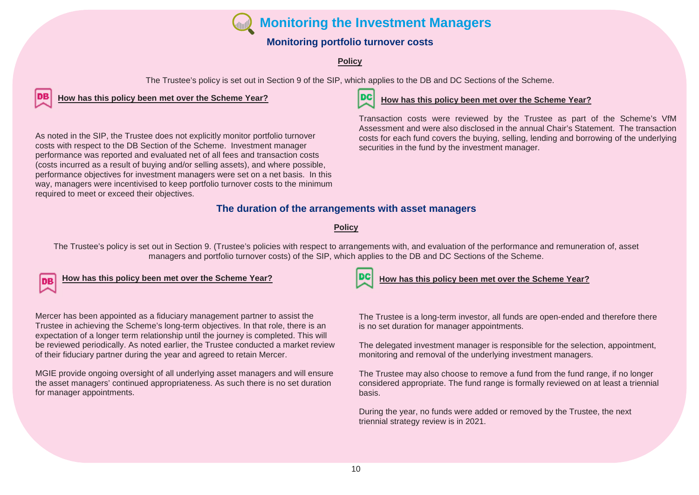**Monitoring the Investment Managers**

### **Monitoring portfolio turnover costs**

### **Policy**

The Trustee's policy is set out in Section 9 of the SIP, which applies to the DB and DC Sections of the Scheme.

**How has this policy been met over the Scheme Year?**

required to meet or exceed their objectives.

As noted in the SIP, the Trustee does not explicitly monitor portfolio turnover costs with respect to the DB Section of the Scheme. Investment manager performance was reported and evaluated net of all fees and transaction costs (costs incurred as a result of buying and/or selling assets), and where possible, performance objectives for investment managers were set on a net basis. In this way, managers were incentivised to keep portfolio turnover costs to the minimum



#### **How has this policy been met over the Scheme Year?**

Transaction costs were reviewed by the Trustee as part of the Scheme's VfM Assessment and were also disclosed in the annual Chair's Statement. The transaction costs for each fund covers the buying, selling, lending and borrowing of the underlying securities in the fund by the investment manager.

### **The duration of the arrangements with asset managers**

#### **Policy**

The Trustee's policy is set out in Section 9. (Trustee's policies with respect to arrangements with, and evaluation of the performance and remuneration of, asset managers and portfolio turnover costs) of the SIP, which applies to the DB and DC Sections of the Scheme.

## **How has this policy been met over the Scheme Year?**

Mercer has been appointed as a fiduciary management partner to assist the Trustee in achieving the Scheme's long-term objectives. In that role, there is an expectation of a longer term relationship until the journey is completed. This will be reviewed periodically. As noted earlier, the Trustee conducted a market review of their fiduciary partner during the year and agreed to retain Mercer.

MGIE provide ongoing oversight of all underlying asset managers and will ensure the asset managers' continued appropriateness. As such there is no set duration for manager appointments.

#### **How has this policy been met over the Scheme Year?**

The Trustee is a long-term investor, all funds are open-ended and therefore there is no set duration for manager appointments.

The delegated investment manager is responsible for the selection, appointment, monitoring and removal of the underlying investment managers.

The Trustee may also choose to remove a fund from the fund range, if no longer considered appropriate. The fund range is formally reviewed on at least a triennial basis.

During the year, no funds were added or removed by the Trustee, the next triennial strategy review is in 2021.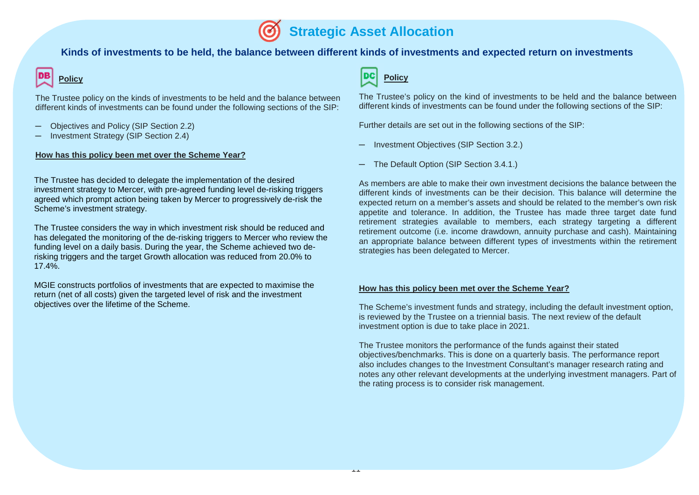11

#### **Kinds of investments to be held, the balance between different kinds of investments and expected return on investments**

# **Policy**

The Trustee policy on the kinds of investments to be held and the balance between different kinds of investments can be found under the following sections of the SIP:

- Objectives and Policy (SIP Section 2.2)
- ─ Investment Strategy (SIP Section 2.4)

#### **How has this policy been met over the Scheme Year?**

The Trustee has decided to delegate the implementation of the desired investment strategy to Mercer, with pre-agreed funding level de-risking triggers agreed which prompt action being taken by Mercer to progressively de-risk the Scheme's investment strategy.

The Trustee considers the way in which investment risk should be reduced and has delegated the monitoring of the de-risking triggers to Mercer who review the funding level on a daily basis. During the year, the Scheme achieved two derisking triggers and the target Growth allocation was reduced from 20.0% to 17.4%.

MGIE constructs portfolios of investments that are expected to maximise the return (net of all costs) given the targeted level of risk and the investment objectives over the lifetime of the Scheme.



The Trustee's policy on the kind of investments to be held and the balance between different kinds of investments can be found under the following sections of the SIP:

Further details are set out in the following sections of the SIP:

- Investment Objectives (SIP Section 3.2.)
- The Default Option (SIP Section 3.4.1.)

As members are able to make their own investment decisions the balance between the different kinds of investments can be their decision. This balance will determine the expected return on a member's assets and should be related to the member's own risk appetite and tolerance. In addition, the Trustee has made three target date fund retirement strategies available to members, each strategy targeting a different retirement outcome (i.e. income drawdown, annuity purchase and cash). Maintaining an appropriate balance between different types of investments within the retirement strategies has been delegated to Mercer.

#### **How has this policy been met over the Scheme Year?**

The Scheme's investment funds and strategy, including the default investment option, is reviewed by the Trustee on a triennial basis. The next review of the default investment option is due to take place in 2021.

The Trustee monitors the performance of the funds against their stated objectives/benchmarks. This is done on a quarterly basis. The performance report also includes changes to the Investment Consultant's manager research rating and notes any other relevant developments at the underlying investment managers. Part of the rating process is to consider risk management.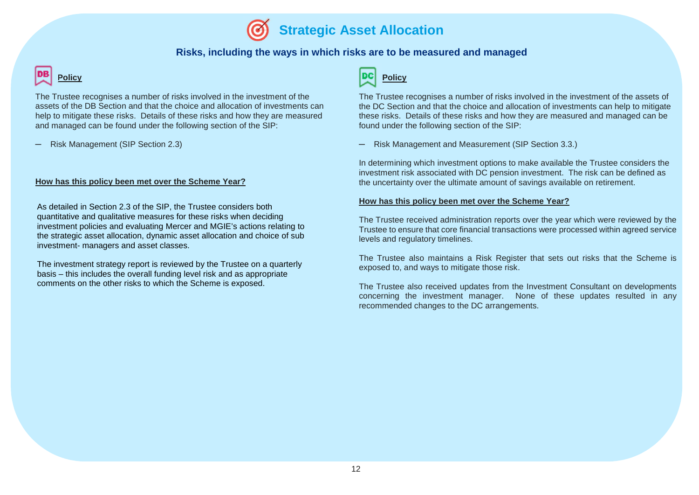#### **Risks, including the ways in which risks are to be measured and managed**

# **Policy**

The Trustee recognises a number of risks involved in the investment of the assets of the DB Section and that the choice and allocation of investments can help to mitigate these risks. Details of these risks and how they are measured and managed can be found under the following section of the SIP:

─ Risk Management (SIP Section 2.3)

#### **How has this policy been met over the Scheme Year?**

As detailed in Section 2.3 of the SIP, the Trustee considers both quantitative and qualitative measures for these risks when deciding investment policies and evaluating Mercer and MGIE's actions relating to the strategic asset allocation, dynamic asset allocation and choice of sub investment- managers and asset classes.

The investment strategy report is reviewed by the Trustee on a quarterly basis – this includes the overall funding level risk and as appropriate comments on the other risks to which the Scheme is exposed.

#### DC **Policy**

The Trustee recognises a number of risks involved in the investment of the assets of the DC Section and that the choice and allocation of investments can help to mitigate these risks. Details of these risks and how they are measured and managed can be found under the following section of the SIP:

─ Risk Management and Measurement (SIP Section 3.3.)

In determining which investment options to make available the Trustee considers the investment risk associated with DC pension investment. The risk can be defined as the uncertainty over the ultimate amount of savings available on retirement.

#### **How has this policy been met over the Scheme Year?**

The Trustee received administration reports over the year which were reviewed by the Trustee to ensure that core financial transactions were processed within agreed service levels and regulatory timelines.

The Trustee also maintains a Risk Register that sets out risks that the Scheme is exposed to, and ways to mitigate those risk.

The Trustee also received updates from the Investment Consultant on developments concerning the investment manager. None of these updates resulted in any recommended changes to the DC arrangements.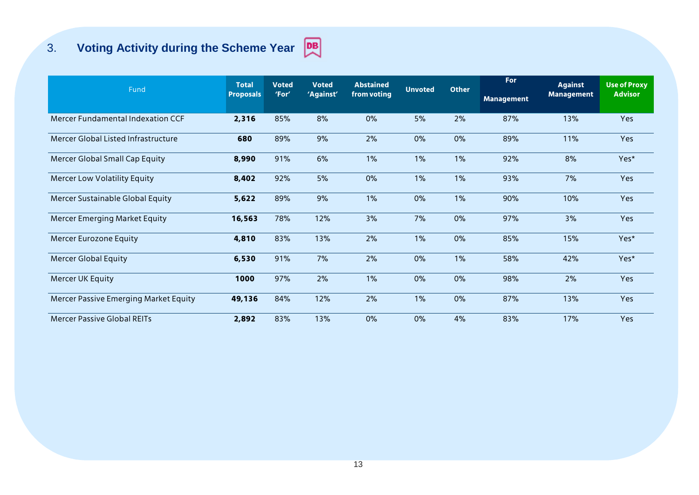# 3. **Voting Activity during the Scheme Year**



|                                       | <b>Total</b>     | <b>Voted</b> | <b>Voted</b><br>'Against' | <b>Abstained</b><br>from voting | <b>Unvoted</b> | <b>Other</b> | For               | <b>Against</b>    | <b>Use of Proxy</b> |
|---------------------------------------|------------------|--------------|---------------------------|---------------------------------|----------------|--------------|-------------------|-------------------|---------------------|
| Fund                                  | <b>Proposals</b> | 'For'        |                           |                                 |                |              | <b>Management</b> | <b>Management</b> | <b>Advisor</b>      |
| Mercer Fundamental Indexation CCF     | 2,316            | 85%          | 8%                        | 0%                              | 5%             | 2%           | 87%               | 13%               | Yes                 |
| Mercer Global Listed Infrastructure   | 680              | 89%          | 9%                        | 2%                              | 0%             | 0%           | 89%               | 11%               | Yes                 |
| Mercer Global Small Cap Equity        | 8,990            | 91%          | 6%                        | 1%                              | 1%             | 1%           | 92%               | 8%                | Yes*                |
| <b>Mercer Low Volatility Equity</b>   | 8,402            | 92%          | 5%                        | 0%                              | 1%             | 1%           | 93%               | 7%                | Yes                 |
| Mercer Sustainable Global Equity      | 5,622            | 89%          | 9%                        | 1%                              | 0%             | 1%           | 90%               | 10%               | Yes                 |
| Mercer Emerging Market Equity         | 16,563           | 78%          | 12%                       | 3%                              | 7%             | 0%           | 97%               | 3%                | Yes                 |
| Mercer Eurozone Equity                | 4,810            | 83%          | 13%                       | 2%                              | 1%             | 0%           | 85%               | 15%               | Yes*                |
| <b>Mercer Global Equity</b>           | 6,530            | 91%          | 7%                        | 2%                              | 0%             | 1%           | 58%               | 42%               | Yes*                |
| Mercer UK Equity                      | 1000             | 97%          | 2%                        | 1%                              | 0%             | 0%           | 98%               | 2%                | Yes                 |
| Mercer Passive Emerging Market Equity | 49,136           | 84%          | 12%                       | 2%                              | 1%             | 0%           | 87%               | 13%               | Yes                 |
| <b>Mercer Passive Global REITs</b>    | 2,892            | 83%          | 13%                       | 0%                              | 0%             | 4%           | 83%               | 17%               | Yes                 |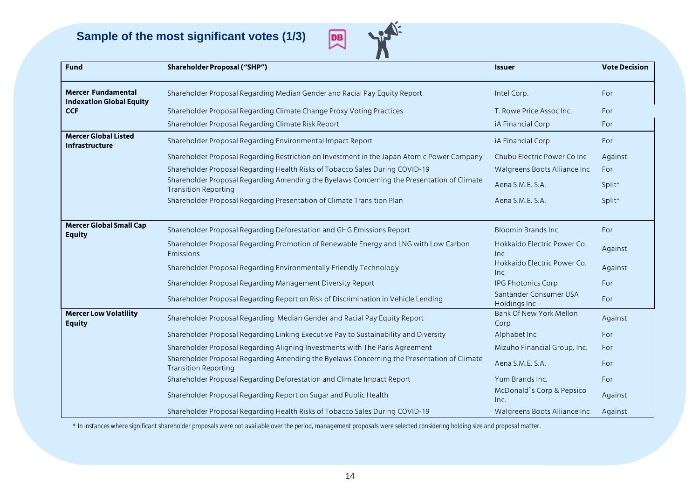**Sample of the most significant votes (1/3)**



| <b>Fund</b>                                                  | <b>Shareholder Proposal ("SHP")</b>                                                                                       | <b>Issuer</b>                          | <b>Vote Decision</b> |
|--------------------------------------------------------------|---------------------------------------------------------------------------------------------------------------------------|----------------------------------------|----------------------|
| <b>Mercer Fundamental</b><br><b>Indexation Global Equity</b> | Shareholder Proposal Regarding Median Gender and Racial Pay Equity Report                                                 | Intel Corp.                            | For                  |
| <b>CCF</b>                                                   | Shareholder Proposal Regarding Climate Change Proxy Voting Practices                                                      | T. Rowe Price Assoc Inc.               | For                  |
|                                                              | Shareholder Proposal Regarding Climate Risk Report                                                                        | iA Financial Corp                      | For                  |
| <b>Mercer Global Listed</b><br><b>Infrastructure</b>         | Shareholder Proposal Regarding Environmental Impact Report                                                                | iA Financial Corp                      | For                  |
|                                                              | Shareholder Proposal Regarding Restriction on Investment in the Japan Atomic Power Company                                | Chubu Electric Power Co Inc            | Against              |
|                                                              | Shareholder Proposal Regarding Health Risks of Tobacco Sales During COVID-19                                              | Walgreens Boots Alliance Inc           | For                  |
|                                                              | Shareholder Proposal Regarding Amending the Byelaws Concerning the Presentation of Climate<br><b>Transition Reporting</b> | Aena S.M.E. S.A.                       | Split*               |
|                                                              | Shareholder Proposal Regarding Presentation of Climate Transition Plan                                                    | Aena S.M.E. S.A.                       | Split*               |
| <b>Mercer Global Small Cap</b><br><b>Equity</b>              | Shareholder Proposal Regarding Deforestation and GHG Emissions Report                                                     | <b>Bloomin Brands Inc.</b>             | For                  |
|                                                              | Shareholder Proposal Regarding Promotion of Renewable Energy and LNG with Low Carbon<br>Emissions                         | Hokkaido Electric Power Co.<br>Inc     | Against              |
|                                                              | Shareholder Proposal Regarding Environmentally Friendly Technology                                                        | Hokkaido Electric Power Co.<br>Inc     | Against              |
|                                                              | Shareholder Proposal Regarding Management Diversity Report                                                                | IPG Photonics Corp                     | For                  |
|                                                              | Shareholder Proposal Regarding Report on Risk of Discrimination in Vehicle Lending                                        | Santander Consumer USA<br>Holdings Inc | For                  |
| <b>Mercer Low Volatility</b><br><b>Equity</b>                | Shareholder Proposal Regarding Median Gender and Racial Pay Equity Report                                                 | Bank Of New York Mellon<br>Corp        | Against              |
|                                                              | Shareholder Proposal Regarding Linking Executive Pay to Sustainability and Diversity                                      | Alphabet Inc                           | For                  |
|                                                              | Shareholder Proposal Regarding Aligning Investments with The Paris Agreement                                              | Mizuho Financial Group, Inc.           | For                  |
|                                                              | Shareholder Proposal Regarding Amending the Byelaws Concerning the Presentation of Climate<br><b>Transition Reporting</b> | Aena S.M.E. S.A.                       | For                  |
|                                                              | Shareholder Proposal Regarding Deforestation and Climate Impact Report                                                    | Yum Brands Inc.                        | For                  |
|                                                              | Shareholder Proposal Regarding Report on Sugar and Public Health                                                          | McDonald's Corp & Pepsico<br>Inc.      | Against              |
|                                                              | Shareholder Proposal Regarding Health Risks of Tobacco Sales During COVID-19                                              | Walgreens Boots Alliance Inc           | Against              |

*\* In instances where significant shareholder proposals were not available over the period, management proposals were selected considering holding size and proposal matter.*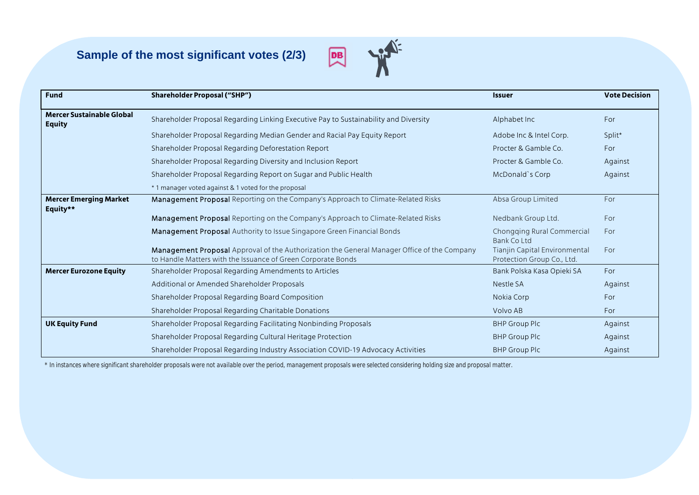# **Sample of the most significant votes (2/3)**



| <b>Fund</b>                                       | <b>Shareholder Proposal ("SHP")</b>                                                                                                                         | <b>Issuer</b>                                               | <b>Vote Decision</b> |
|---------------------------------------------------|-------------------------------------------------------------------------------------------------------------------------------------------------------------|-------------------------------------------------------------|----------------------|
| <b>Mercer Sustainable Global</b><br><b>Equity</b> | Shareholder Proposal Regarding Linking Executive Pay to Sustainability and Diversity                                                                        | Alphabet Inc                                                | For                  |
|                                                   | Shareholder Proposal Regarding Median Gender and Racial Pay Equity Report                                                                                   | Adobe Inc & Intel Corp.                                     | Split*               |
|                                                   | Shareholder Proposal Regarding Deforestation Report                                                                                                         | Procter & Gamble Co.                                        | For                  |
|                                                   | Shareholder Proposal Regarding Diversity and Inclusion Report                                                                                               | Procter & Gamble Co.                                        | Against              |
|                                                   | Shareholder Proposal Regarding Report on Sugar and Public Health                                                                                            | McDonald's Corp                                             | Against              |
|                                                   | *1 manager voted against & 1 voted for the proposal                                                                                                         |                                                             |                      |
| <b>Mercer Emerging Market</b><br>Equity**         | Management Proposal Reporting on the Company's Approach to Climate-Related Risks                                                                            | Absa Group Limited                                          | For                  |
|                                                   | Management Proposal Reporting on the Company's Approach to Climate-Related Risks                                                                            | Nedbank Group Ltd.                                          | For                  |
|                                                   | Management Proposal Authority to Issue Singapore Green Financial Bonds                                                                                      | Chongging Rural Commercial<br><b>Bank Co Ltd</b>            | For                  |
|                                                   | Management Proposal Approval of the Authorization the General Manager Office of the Company<br>to Handle Matters with the Issuance of Green Corporate Bonds | Tianjin Capital Environmental<br>Protection Group Co., Ltd. | For                  |
| <b>Mercer Eurozone Equity</b>                     | Shareholder Proposal Regarding Amendments to Articles                                                                                                       | Bank Polska Kasa Opieki SA                                  | For                  |
|                                                   | Additional or Amended Shareholder Proposals                                                                                                                 | Nestle SA                                                   | Against              |
|                                                   | Shareholder Proposal Regarding Board Composition                                                                                                            | Nokia Corp                                                  | For                  |
|                                                   | Shareholder Proposal Regarding Charitable Donations                                                                                                         | Volvo AB                                                    | For                  |
| <b>UK Equity Fund</b>                             | Shareholder Proposal Regarding Facilitating Nonbinding Proposals                                                                                            | <b>BHP Group Plc</b>                                        | Against              |
|                                                   | Shareholder Proposal Regarding Cultural Heritage Protection                                                                                                 | <b>BHP Group Plc</b>                                        | Against              |
|                                                   | Shareholder Proposal Regarding Industry Association COVID-19 Advocacy Activities                                                                            | <b>BHP Group Plc</b>                                        | Against              |

*\* In instances where significant shareholder proposals were not available over the period, management proposals were selected considering holding size and proposal matter.*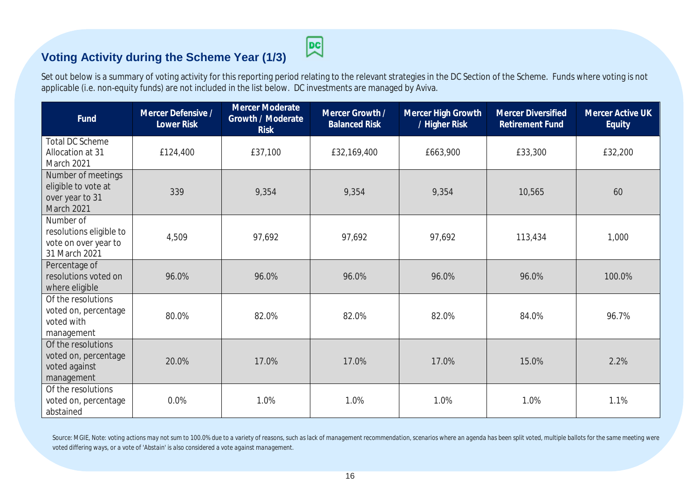# **Voting Activity during the Scheme Year (1/3)**

図

Set out below is a summary of voting activity for this reporting period relating to the relevant strategies in the DC Section of the Scheme. Funds where voting is not applicable (i.e. non-equity funds) are not included in the list below. DC investments are managed by Aviva.

| Fund                                                                          | Mercer Defensive /<br>Lower Risk | Mercer Moderate<br>Growth / Moderate<br><b>Risk</b> | Mercer Growth /<br><b>Balanced Risk</b> | Mercer High Growth<br>/ Higher Risk | <b>Mercer Diversified</b><br>Retirement Fund | Mercer Active UK<br>Equity |
|-------------------------------------------------------------------------------|----------------------------------|-----------------------------------------------------|-----------------------------------------|-------------------------------------|----------------------------------------------|----------------------------|
| <b>Total DC Scheme</b><br>Allocation at 31<br>March 2021                      | £124,400                         | £37,100                                             | £32,169,400                             | £663,900                            | £33,300                                      | £32,200                    |
| Number of meetings<br>eligible to vote at<br>over year to 31<br>March 2021    | 339                              | 9,354                                               | 9,354                                   | 9,354                               | 10,565                                       | 60                         |
| Number of<br>resolutions eligible to<br>vote on over year to<br>31 March 2021 | 4,509                            | 97,692                                              | 97,692                                  | 97,692                              | 113,434                                      | 1,000                      |
| Percentage of<br>resolutions voted on<br>where eligible                       | 96.0%                            | 96.0%                                               | 96.0%                                   | 96.0%                               | 96.0%                                        | 100.0%                     |
| Of the resolutions<br>voted on, percentage<br>voted with<br>management        | 80.0%                            | 82.0%                                               | 82.0%                                   | 82.0%                               | 84.0%                                        | 96.7%                      |
| Of the resolutions<br>voted on, percentage<br>voted against<br>management     | 20.0%                            | 17.0%                                               | 17.0%                                   | 17.0%                               | 15.0%                                        | 2.2%                       |
| Of the resolutions<br>voted on, percentage<br>abstained                       | 0.0%                             | 1.0%                                                | 1.0%                                    | 1.0%                                | 1.0%                                         | 1.1%                       |

Source: MGIE, Note: voting actions may not sum to 100.0% due to a variety of reasons, such as lack of management recommendation, scenarios where an agenda has been split voted, multiple ballots for the same meeting were *voted differing ways, or a vote of 'Abstain' is also considered a vote against management.*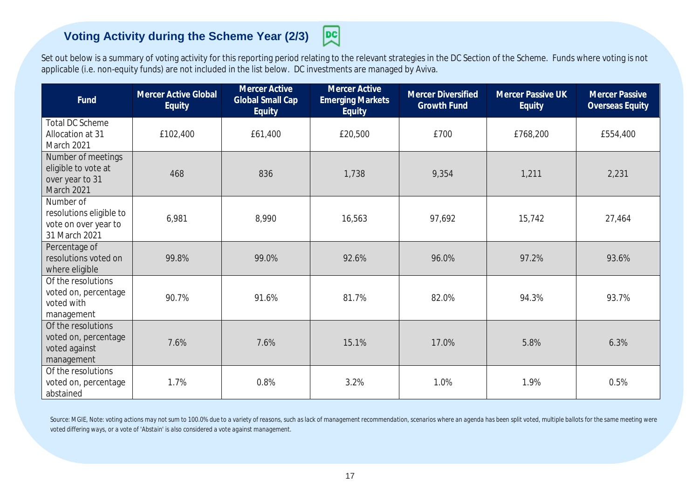# **Voting Activity during the Scheme Year (2/3)**

Set out below is a summary of voting activity for this reporting period relating to the relevant strategies in the DC Section of the Scheme. Funds where voting is not applicable (i.e. non-equity funds) are not included in the list below. DC investments are managed by Aviva.

몡

| Fund                                                                          | <b>Mercer Active Global</b><br>Equity | <b>Mercer Active</b><br><b>Global Small Cap</b><br>Equity | <b>Mercer Active</b><br><b>Emerging Markets</b><br>Equity | <b>Mercer Diversified</b><br><b>Growth Fund</b> | Mercer Passive UK<br><b>Equity</b> | <b>Mercer Passive</b><br>Overseas Equity |
|-------------------------------------------------------------------------------|---------------------------------------|-----------------------------------------------------------|-----------------------------------------------------------|-------------------------------------------------|------------------------------------|------------------------------------------|
| <b>Total DC Scheme</b><br>Allocation at 31<br>March 2021                      | £102,400                              | £61,400                                                   | £20,500                                                   | £700                                            | £768,200                           | £554,400                                 |
| Number of meetings<br>eligible to vote at<br>over year to 31<br>March 2021    | 468                                   | 836                                                       | 1,738                                                     | 9,354                                           | 1,211                              | 2,231                                    |
| Number of<br>resolutions eligible to<br>vote on over year to<br>31 March 2021 | 6,981                                 | 8,990                                                     | 16,563                                                    | 97,692                                          | 15,742                             | 27,464                                   |
| Percentage of<br>resolutions voted on<br>where eligible                       | 99.8%                                 | 99.0%                                                     | 92.6%                                                     | 96.0%                                           | 97.2%                              | 93.6%                                    |
| Of the resolutions<br>voted on, percentage<br>voted with<br>management        | 90.7%                                 | 91.6%                                                     | 81.7%                                                     | 82.0%                                           | 94.3%                              | 93.7%                                    |
| Of the resolutions<br>voted on, percentage<br>voted against<br>management     | 7.6%                                  | 7.6%                                                      | 15.1%                                                     | 17.0%                                           | 5.8%                               | 6.3%                                     |
| Of the resolutions<br>voted on, percentage<br>abstained                       | 1.7%                                  | 0.8%                                                      | 3.2%                                                      | 1.0%                                            | 1.9%                               | 0.5%                                     |

Source: MGIE, Note: voting actions may not sum to 100.0% due to a variety of reasons, such as lack of management recommendation, scenarios where an agenda has been split voted, multiple ballots for the same meeting were *voted differing ways, or a vote of 'Abstain' is also considered a vote against management.*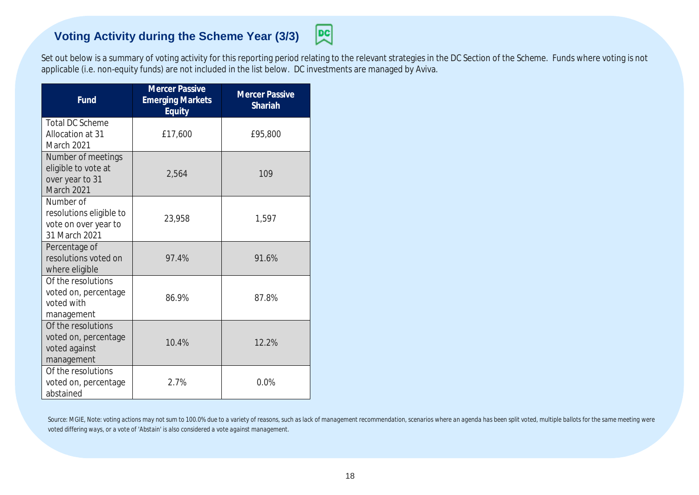# **Voting Activity during the Scheme Year (3/3)**



Set out below is a summary of voting activity for this reporting period relating to the relevant strategies in the DC Section of the Scheme. Funds where voting is not applicable (i.e. non-equity funds) are not included in the list below. DC investments are managed by Aviva.

| Fund                                                                          | <b>Mercer Passive</b><br><b>Emerging Markets</b><br>Equity | <b>Mercer Passive</b><br><b>Shariah</b> |
|-------------------------------------------------------------------------------|------------------------------------------------------------|-----------------------------------------|
| <b>Total DC Scheme</b><br>Allocation at 31<br>March 2021                      | £17,600                                                    | £95,800                                 |
| Number of meetings<br>eligible to vote at<br>over year to 31<br>March 2021    | 2,564                                                      | 109                                     |
| Number of<br>resolutions eligible to<br>vote on over year to<br>31 March 2021 | 23,958                                                     | 1,597                                   |
| Percentage of<br>resolutions voted on<br>where eligible                       | 97.4%                                                      | 91.6%                                   |
| Of the resolutions<br>voted on, percentage<br>voted with<br>management        | 86.9%                                                      | 87.8%                                   |
| Of the resolutions<br>voted on, percentage<br>voted against<br>management     | 10.4%                                                      | 12.2%                                   |
| Of the resolutions<br>voted on, percentage<br>abstained                       | 2.7%                                                       | 0.0%                                    |

Source: MGIE, Note: voting actions may not sum to 100.0% due to a variety of reasons, such as lack of management recommendation, scenarios where an agenda has been split voted, multiple ballots for the same meeting were *voted differing ways, or a vote of 'Abstain' is also considered a vote against management.*